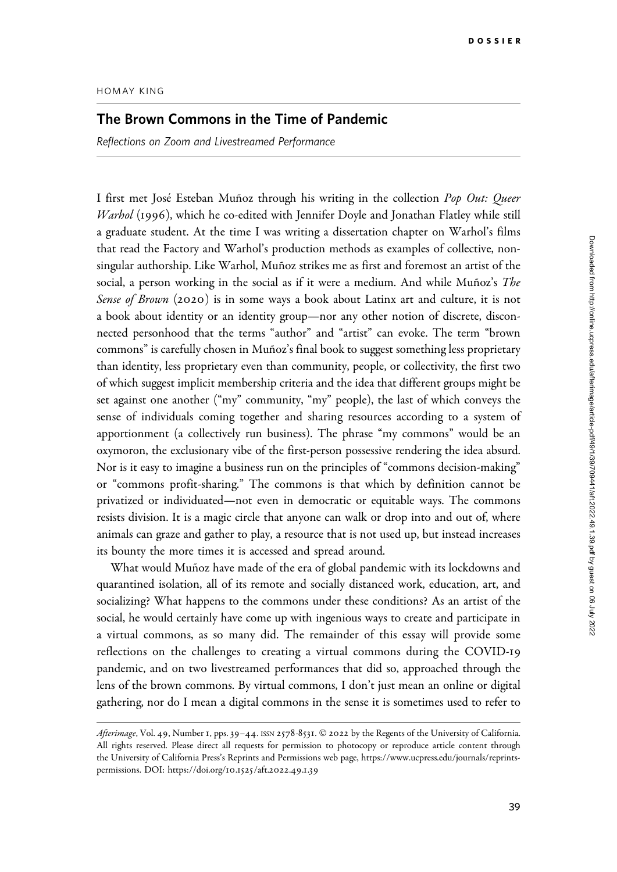## Downloaded from http://online.ucpress.edu/afterimage/article-pdf/49/1/39/709441/aft.2022.49.1.39.pdf by guest on 06 July 2022 Downloaded from http://online.ucpress.edu/afterimage/article-pdf/49/1/39/709441/aft.2022.49.1.39.pdf by guest on 06 July 2022

## HOMAY KING

## The Brown Commons in the Time of Pandemic

Reflections on Zoom and Livestreamed Performance

I first met José Esteban Muñoz through his writing in the collection Pop Out: Queer Warhol (1996), which he co-edited with Jennifer Doyle and Jonathan Flatley while still a graduate student. At the time I was writing a dissertation chapter on Warhol's films that read the Factory and Warhol's production methods as examples of collective, nonsingular authorship. Like Warhol, Muñoz strikes me as first and foremost an artist of the social, a person working in the social as if it were a medium. And while Muñoz's The Sense of Brown (2020) is in some ways a book about Latinx art and culture, it is not a book about identity or an identity group—nor any other notion of discrete, disconnected personhood that the terms "author" and "artist" can evoke. The term "brown commons" is carefully chosen in Muñoz's final book to suggest something less proprietary than identity, less proprietary even than community, people, or collectivity, the first two of which suggest implicit membership criteria and the idea that different groups might be set against one another ("my" community, "my" people), the last of which conveys the sense of individuals coming together and sharing resources according to a system of apportionment (a collectively run business). The phrase "my commons" would be an oxymoron, the exclusionary vibe of the first-person possessive rendering the idea absurd. Nor is it easy to imagine a business run on the principles of "commons decision-making" or "commons profit-sharing." The commons is that which by definition cannot be privatized or individuated—not even in democratic or equitable ways. The commons resists division. It is a magic circle that anyone can walk or drop into and out of, where animals can graze and gather to play, a resource that is not used up, but instead increases its bounty the more times it is accessed and spread around.

What would Muñoz have made of the era of global pandemic with its lockdowns and quarantined isolation, all of its remote and socially distanced work, education, art, and socializing? What happens to the commons under these conditions? As an artist of the social, he would certainly have come up with ingenious ways to create and participate in a virtual commons, as so many did. The remainder of this essay will provide some reflections on the challenges to creating a virtual commons during the COVID-19 pandemic, and on two livestreamed performances that did so, approached through the lens of the brown commons. By virtual commons, I don't just mean an online or digital gathering, nor do I mean a digital commons in the sense it is sometimes used to refer to

Afterimage, Vol. 49, Number 1, pps. 39-44. ISSN 2578-8531. © 2022 by the Regents of the University of California. All rights reserved. Please direct all requests for permission to photocopy or reproduce article content through the University of California Press's Reprints and Permissions web page, [https://www.ucpress.edu/journals/reprints](https://www.ucpress.edu/journals/reprints-permissions)[permissions.](https://www.ucpress.edu/journals/reprints-permissions) [DOI: https://doi.org/](https://doi.org/10.1525/aft.2022.49.1.39)10.1525/aft.2022.49.1.39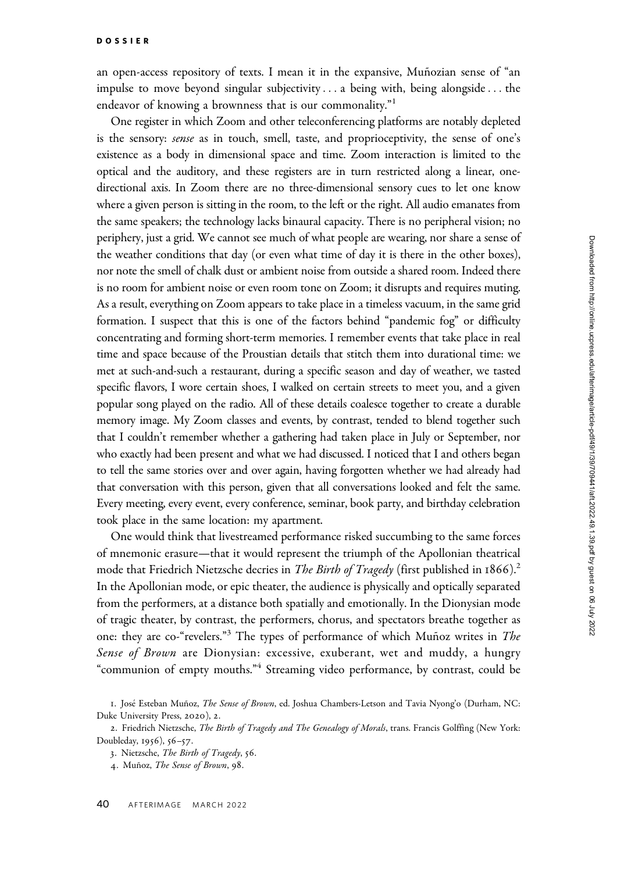an open-access repository of texts. I mean it in the expansive, Muñozian sense of "an impulse to move beyond singular subjectivity ... a being with, being alongside... the endeavor of knowing a brownness that is our commonality."<sup>1</sup>

One register in which Zoom and other teleconferencing platforms are notably depleted is the sensory: *sense* as in touch, smell, taste, and proprioceptivity, the sense of one's existence as a body in dimensional space and time. Zoom interaction is limited to the optical and the auditory, and these registers are in turn restricted along a linear, onedirectional axis. In Zoom there are no three-dimensional sensory cues to let one know where a given person is sitting in the room, to the left or the right. All audio emanates from the same speakers; the technology lacks binaural capacity. There is no peripheral vision; no periphery, just a grid. We cannot see much of what people are wearing, nor share a sense of the weather conditions that day (or even what time of day it is there in the other boxes), nor note the smell of chalk dust or ambient noise from outside a shared room. Indeed there is no room for ambient noise or even room tone on Zoom; it disrupts and requires muting. As a result, everything on Zoom appears to take place in a timeless vacuum, in the same grid formation. I suspect that this is one of the factors behind "pandemic fog" or difficulty concentrating and forming short-term memories. I remember events that take place in real time and space because of the Proustian details that stitch them into durational time: we met at such-and-such a restaurant, during a specific season and day of weather, we tasted specific flavors, I wore certain shoes, I walked on certain streets to meet you, and a given popular song played on the radio. All of these details coalesce together to create a durable memory image. My Zoom classes and events, by contrast, tended to blend together such that I couldn't remember whether a gathering had taken place in July or September, nor who exactly had been present and what we had discussed. I noticed that I and others began to tell the same stories over and over again, having forgotten whether we had already had that conversation with this person, given that all conversations looked and felt the same. Every meeting, every event, every conference, seminar, book party, and birthday celebration took place in the same location: my apartment.

One would think that livestreamed performance risked succumbing to the same forces of mnemonic erasure—that it would represent the triumph of the Apollonian theatrical mode that Friedrich Nietzsche decries in *The Birth of Tragedy* (first published in  $1866$ ).<sup>2</sup> In the Apollonian mode, or epic theater, the audience is physically and optically separated from the performers, at a distance both spatially and emotionally. In the Dionysian mode of tragic theater, by contrast, the performers, chorus, and spectators breathe together as one: they are co-"revelers."<sup>3</sup> The types of performance of which Muñoz writes in The Sense of Brown are Dionysian: excessive, exuberant, wet and muddy, a hungry "communion of empty mouths."<sup>4</sup> Streaming video performance, by contrast, could be

<sup>1.</sup> José Esteban Muñoz, The Sense of Brown, ed. Joshua Chambers-Letson and Tavia Nyong'o (Durham, NC: Duke University Press, 2020), 2.

<sup>2.</sup> Friedrich Nietzsche, The Birth of Tragedy and The Genealogy of Morals, trans. Francis Golffing (New York: Doubleday, 1956), 56–57.

<sup>3</sup>. Nietzsche, The Birth of Tragedy, 56.

<sup>4.</sup> Muñoz, The Sense of Brown, 98.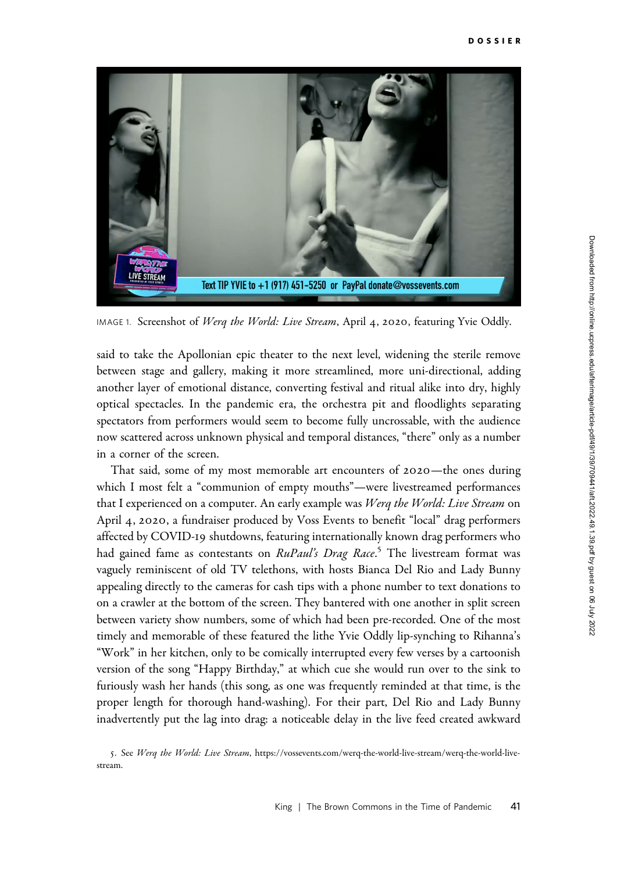

IMAGE 1. Screenshot of Werq the World: Live Stream, April 4, 2020, featuring Yvie Oddly.

said to take the Apollonian epic theater to the next level, widening the sterile remove between stage and gallery, making it more streamlined, more uni-directional, adding another layer of emotional distance, converting festival and ritual alike into dry, highly optical spectacles. In the pandemic era, the orchestra pit and floodlights separating spectators from performers would seem to become fully uncrossable, with the audience now scattered across unknown physical and temporal distances, "there" only as a number in a corner of the screen.

That said, some of my most memorable art encounters of 2020—the ones during which I most felt a "communion of empty mouths"—were livestreamed performances that I experienced on a computer. An early example was Werq the World: Live Stream on April 4, 2020, a fundraiser produced by Voss Events to benefit "local" drag performers affected by COVID-19 shutdowns, featuring internationally known drag performers who had gained fame as contestants on *RuPaul's Drag Race.<sup>5</sup>* The livestream format was vaguely reminiscent of old TV telethons, with hosts Bianca Del Rio and Lady Bunny appealing directly to the cameras for cash tips with a phone number to text donations to on a crawler at the bottom of the screen. They bantered with one another in split screen between variety show numbers, some of which had been pre-recorded. One of the most timely and memorable of these featured the lithe Yvie Oddly lip-synching to Rihanna's "Work" in her kitchen, only to be comically interrupted every few verses by a cartoonish version of the song "Happy Birthday," at which cue she would run over to the sink to furiously wash her hands (this song, as one was frequently reminded at that time, is the proper length for thorough hand-washing). For their part, Del Rio and Lady Bunny inadvertently put the lag into drag: a noticeable delay in the live feed created awkward

5. See Werq the World: Live Stream, [https://vossevents.com/werq-the-world-live-stream/werq-the-world-live](https://vossevents.com/werq-the-world-live-stream/werq-the-world-live-stream)[stream](https://vossevents.com/werq-the-world-live-stream/werq-the-world-live-stream).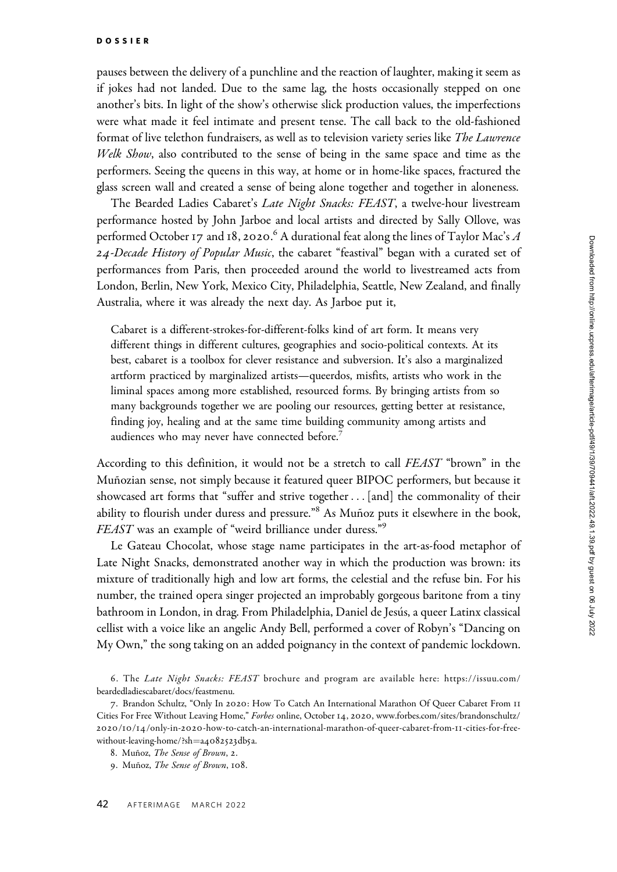pauses between the delivery of a punchline and the reaction of laughter, making it seem as if jokes had not landed. Due to the same lag, the hosts occasionally stepped on one another's bits. In light of the show's otherwise slick production values, the imperfections were what made it feel intimate and present tense. The call back to the old-fashioned format of live telethon fundraisers, as well as to television variety series like The Lawrence Welk Show, also contributed to the sense of being in the same space and time as the performers. Seeing the queens in this way, at home or in home-like spaces, fractured the glass screen wall and created a sense of being alone together and together in aloneness.

The Bearded Ladies Cabaret's Late Night Snacks: FEAST, a twelve-hour livestream performance hosted by John Jarboe and local artists and directed by Sally Ollove, was performed October 17 and 18, 2020. $^6$  A durational feat along the lines of Taylor Mac's  $A$ 24-Decade History of Popular Music, the cabaret "feastival" began with a curated set of performances from Paris, then proceeded around the world to livestreamed acts from London, Berlin, New York, Mexico City, Philadelphia, Seattle, New Zealand, and finally Australia, where it was already the next day. As Jarboe put it,

Cabaret is a different-strokes-for-different-folks kind of art form. It means very different things in different cultures, geographies and socio-political contexts. At its best, cabaret is a toolbox for clever resistance and subversion. It's also a marginalized artform practiced by marginalized artists—queerdos, misfits, artists who work in the liminal spaces among more established, resourced forms. By bringing artists from so many backgrounds together we are pooling our resources, getting better at resistance, finding joy, healing and at the same time building community among artists and audiences who may never have connected before.<sup>7</sup>

According to this definition, it would not be a stretch to call FEAST "brown" in the Muñozian sense, not simply because it featured queer BIPOC performers, but because it showcased art forms that "suffer and strive together ... [and] the commonality of their ability to flourish under duress and pressure."<sup>8</sup> As Muñoz puts it elsewhere in the book, FEAST was an example of "weird brilliance under duress."<sup>9</sup>

Le Gateau Chocolat, whose stage name participates in the art-as-food metaphor of Late Night Snacks, demonstrated another way in which the production was brown: its mixture of traditionally high and low art forms, the celestial and the refuse bin. For his number, the trained opera singer projected an improbably gorgeous baritone from a tiny bathroom in London, in drag. From Philadelphia, Daniel de Jesús, a queer Latinx classical cellist with a voice like an angelic Andy Bell, performed a cover of Robyn's "Dancing on My Own," the song taking on an added poignancy in the context of pandemic lockdown.

<sup>6.</sup> The Late Night Snacks: FEAST brochure and program are available here: [https://issuu.com/](https://issuu.com/beardedladiescabaret/docs/feastmenu) [beardedladiescabaret/docs/feastmenu.](https://issuu.com/beardedladiescabaret/docs/feastmenu)

<sup>7</sup>. Brandon Schultz, "Only In 2020: How To Catch An International Marathon Of Queer Cabaret From 11 Cities For Free Without Leaving Home," Forbes online, October 14, 2020, [www.forbes.com/sites/brandonschultz/](www.forbes.com/sites/brandonschultz/2020/10/14/only-in-2020-how-to-catch-an-international-marathon-of-queer-cabaret-from-11-cities-for-free-without-leaving-home/?sh=a4082523db5a) 2020/10/14/only-in-2020[-how-to-catch-an-international-marathon-of-queer-cabaret-from-](www.forbes.com/sites/brandonschultz/2020/10/14/only-in-2020-how-to-catch-an-international-marathon-of-queer-cabaret-from-11-cities-for-free-without-leaving-home/?sh=a4082523db5a)11-cities-for-free[without-leaving-home/?sh](www.forbes.com/sites/brandonschultz/2020/10/14/only-in-2020-how-to-catch-an-international-marathon-of-queer-cabaret-from-11-cities-for-free-without-leaving-home/?sh=a4082523db5a)=a[4082523](www.forbes.com/sites/brandonschultz/2020/10/14/only-in-2020-how-to-catch-an-international-marathon-of-queer-cabaret-from-11-cities-for-free-without-leaving-home/?sh=a4082523db5a)db5a.

<sup>8.</sup> Muñoz, The Sense of Brown, 2.

<sup>9.</sup> Muñoz, The Sense of Brown, 108.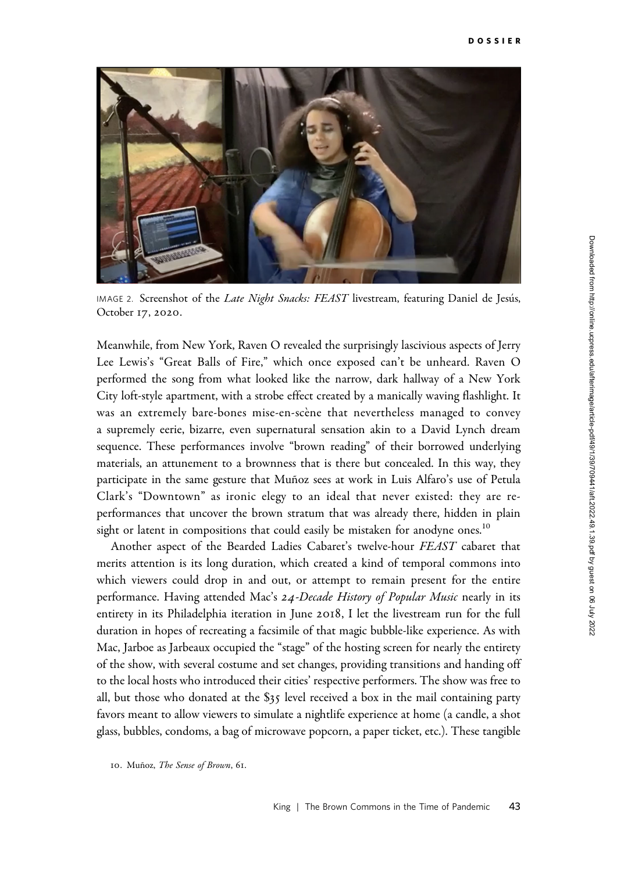

IMAGE 2. Screenshot of the Late Night Snacks: FEAST livestream, featuring Daniel de Jesús, October 17, 2020.

Meanwhile, from New York, Raven O revealed the surprisingly lascivious aspects of Jerry Lee Lewis's "Great Balls of Fire," which once exposed can't be unheard. Raven O performed the song from what looked like the narrow, dark hallway of a New York City loft-style apartment, with a strobe effect created by a manically waving flashlight. It was an extremely bare-bones mise-en-scène that nevertheless managed to convey a supremely eerie, bizarre, even supernatural sensation akin to a David Lynch dream sequence. These performances involve "brown reading" of their borrowed underlying materials, an attunement to a brownness that is there but concealed. In this way, they participate in the same gesture that Muñoz sees at work in Luis Alfaro's use of Petula Clark's "Downtown" as ironic elegy to an ideal that never existed: they are reperformances that uncover the brown stratum that was already there, hidden in plain sight or latent in compositions that could easily be mistaken for anodyne ones.<sup>10</sup>

Another aspect of the Bearded Ladies Cabaret's twelve-hour FEAST cabaret that merits attention is its long duration, which created a kind of temporal commons into which viewers could drop in and out, or attempt to remain present for the entire performance. Having attended Mac's 24-Decade History of Popular Music nearly in its entirety in its Philadelphia iteration in June 2018, I let the livestream run for the full duration in hopes of recreating a facsimile of that magic bubble-like experience. As with Mac, Jarboe as Jarbeaux occupied the "stage" of the hosting screen for nearly the entirety of the show, with several costume and set changes, providing transitions and handing off to the local hosts who introduced their cities' respective performers. The show was free to all, but those who donated at the \$35 level received a box in the mail containing party favors meant to allow viewers to simulate a nightlife experience at home (a candle, a shot glass, bubbles, condoms, a bag of microwave popcorn, a paper ticket, etc.). These tangible

<sup>10.</sup> Muñoz, The Sense of Brown, 61.